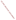